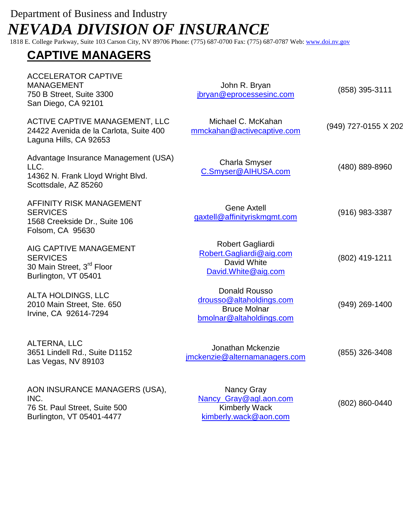## Department of Business and Industry  *NEVADA DIVISION OF INSURANCE*

1818 E. College Parkway, Suite 103 Carson City, NV 89706 Phone: (775) 687-0700 Fax: (775) 687-0787 Web: [www.doi.nv.gov](http://www.doi.nv.gov/)

## **CAPTIVE MANAGERS**

| <b>ACCELERATOR CAPTIVE</b><br><b>MANAGEMENT</b><br>750 B Street, Suite 3300<br>San Diego, CA 92101         | John R. Bryan<br>jbryan@eprocessesinc.com                                                    | (858) 395-3111       |
|------------------------------------------------------------------------------------------------------------|----------------------------------------------------------------------------------------------|----------------------|
| ACTIVE CAPTIVE MANAGEMENT, LLC<br>24422 Avenida de la Carlota, Suite 400<br>Laguna Hills, CA 92653         | Michael C. McKahan<br>mmckahan@activecaptive.com                                             | (949) 727-0155 X 202 |
| Advantage Insurance Management (USA)<br>LLC.<br>14362 N. Frank Lloyd Wright Blvd.<br>Scottsdale, AZ 85260  | <b>Charla Smyser</b><br>C.Smyser@AIHUSA.com                                                  | (480) 889-8960       |
| AFFINITY RISK MANAGEMENT<br><b>SERVICES</b><br>1568 Creekside Dr., Suite 106<br>Folsom, CA 95630           | <b>Gene Axtell</b><br>gaxtell@affinityriskmgmt.com                                           | (916) 983-3387       |
| AIG CAPTIVE MANAGEMENT<br><b>SERVICES</b><br>30 Main Street, 3 <sup>rd</sup> Floor<br>Burlington, VT 05401 | Robert Gagliardi<br>Robert.Gagliardi@aig.com<br>David White<br>David.White@aig.com           | (802) 419-1211       |
| <b>ALTA HOLDINGS, LLC</b><br>2010 Main Street, Ste. 650<br>Irvine, CA 92614-7294                           | Donald Rousso<br>drousso@altaholdings.com<br><b>Bruce Molnar</b><br>bmolnar@altaholdings.com | (949) 269-1400       |
| ALTERNA, LLC<br>3651 Lindell Rd., Suite D1152<br>Las Vegas, NV 89103                                       | Jonathan Mckenzie<br>jmckenzie@alternamanagers.com                                           | (855) 326-3408       |
| AON INSURANCE MANAGERS (USA),<br>INC.<br>76 St. Paul Street, Suite 500<br>Burlington, VT 05401-4477        | Nancy Gray<br>Nancy Gray@agl.aon.com<br><b>Kimberly Wack</b><br>kimberly.wack@aon.com        | (802) 860-0440       |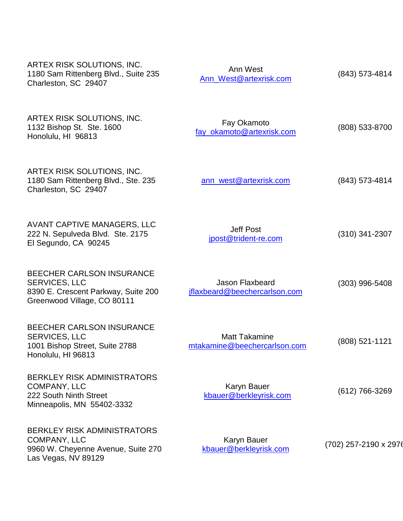| ARTEX RISK SOLUTIONS, INC.<br>1180 Sam Rittenberg Blvd., Suite 235<br>Charleston, SC 29407                                     | Ann West<br>Ann_West@artexrisk.com                   | (843) 573-4814        |
|--------------------------------------------------------------------------------------------------------------------------------|------------------------------------------------------|-----------------------|
| ARTEX RISK SOLUTIONS, INC.<br>1132 Bishop St. Ste. 1600<br>Honolulu, HI 96813                                                  | Fay Okamoto<br>fay_okamoto@artexrisk.com             | (808) 533-8700        |
| ARTEX RISK SOLUTIONS, INC.<br>1180 Sam Rittenberg Blvd., Ste. 235<br>Charleston, SC 29407                                      | ann_west@artexrisk.com                               | $(843)$ 573-4814      |
| <b>AVANT CAPTIVE MANAGERS, LLC</b><br>222 N. Sepulveda Blvd. Ste. 2175<br>El Segundo, CA 90245                                 | <b>Jeff Post</b><br>jpost@trident-re.com             | $(310)$ 341-2307      |
| <b>BEECHER CARLSON INSURANCE</b><br><b>SERVICES, LLC</b><br>8390 E. Crescent Parkway, Suite 200<br>Greenwood Village, CO 80111 | Jason Flaxbeard<br>iflaxbeard@beechercarlson.com     | $(303)$ 996-5408      |
| <b>BEECHER CARLSON INSURANCE</b><br><b>SERVICES, LLC</b><br>1001 Bishop Street, Suite 2788<br>Honolulu, HI 96813               | <b>Matt Takamine</b><br>mtakamine@beechercarlson.com | $(808)$ 521-1121      |
| <b>BERKLEY RISK ADMINISTRATORS</b><br><b>COMPANY, LLC</b><br>222 South Ninth Street<br>Minneapolis, MN 55402-3332              | <b>Karyn Bauer</b><br>kbauer@berkleyrisk.com         | $(612)$ 766-3269      |
| <b>BERKLEY RISK ADMINISTRATORS</b><br><b>COMPANY, LLC</b><br>9960 W. Cheyenne Avenue, Suite 270<br>Las Vegas, NV 89129         | <b>Karyn Bauer</b><br>kbauer@berkleyrisk.com         | (702) 257-2190 x 2976 |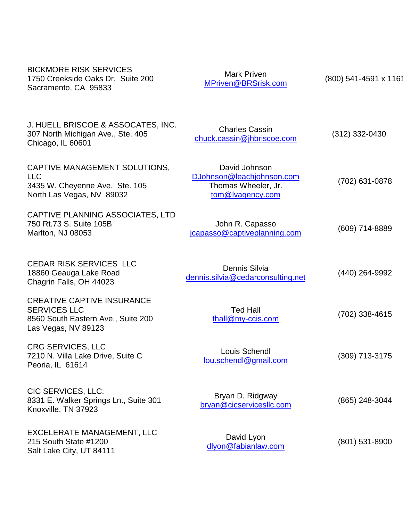| <b>BICKMORE RISK SERVICES</b><br>1750 Creekside Oaks Dr. Suite 200<br>Sacramento, CA 95833                            | <b>Mark Priven</b><br>MPriven@BRSrisk.com                                             | (800) 541-4591 x 116 |
|-----------------------------------------------------------------------------------------------------------------------|---------------------------------------------------------------------------------------|----------------------|
| J. HUELL BRISCOE & ASSOCATES, INC.<br>307 North Michigan Ave., Ste. 405<br>Chicago, IL 60601                          | <b>Charles Cassin</b><br>chuck.cassin@jhbriscoe.com                                   | $(312)$ 332-0430     |
| CAPTIVE MANAGEMENT SOLUTIONS,<br><b>LLC</b><br>3435 W. Cheyenne Ave. Ste. 105<br>North Las Vegas, NV 89032            | David Johnson<br>DJohnson@leachjohnson.com<br>Thomas Wheeler, Jr.<br>tom@lvagency.com | (702) 631-0878       |
| CAPTIVE PLANNING ASSOCIATES, LTD<br>750 Rt.73 S. Suite 105B<br>Marlton, NJ 08053                                      | John R. Capasso<br>jcapasso@captiveplanning.com                                       | (609) 714-8889       |
| <b>CEDAR RISK SERVICES LLC</b><br>18860 Geauga Lake Road<br>Chagrin Falls, OH 44023                                   | Dennis Silvia<br>dennis.silvia@cedarconsulting.net                                    | (440) 264-9992       |
| <b>CREATIVE CAPTIVE INSURANCE</b><br><b>SERVICES LLC</b><br>8560 South Eastern Ave., Suite 200<br>Las Vegas, NV 89123 | <b>Ted Hall</b><br>thall@my-ccis.com                                                  | (702) 338-4615       |
| <b>CRG SERVICES, LLC</b><br>7210 N. Villa Lake Drive, Suite C<br>Peoria, IL 61614                                     | Louis Schendl<br>lou.schendl@gmail.com                                                | (309) 713-3175       |
| CIC SERVICES, LLC.<br>8331 E. Walker Springs Ln., Suite 301<br>Knoxville, TN 37923                                    | Bryan D. Ridgway<br>bryan@cicservicesllc.com                                          | (865) 248-3044       |
| <b>EXCELERATE MANAGEMENT, LLC</b><br>215 South State #1200<br>Salt Lake City, UT 84111                                | David Lyon<br>dlyon@fabianlaw.com                                                     | $(801)$ 531-8900     |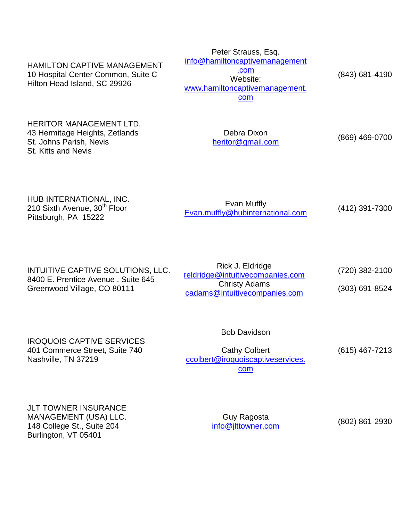HAMILTON CAPTIVE MANAGEMENT 10 Hospital Center Common, Suite C Hilton Head Island, SC 29926 Peter Strauss, Esq. [info@hamiltoncaptivemanagement](mailto:info@hamiltoncaptivemanagement.com) [.com](mailto:info@hamiltoncaptivemanagement.com) Website: [www.hamiltoncaptivemanagement.](http://www.hamiltoncaptivemanagement.com/) [com](http://www.hamiltoncaptivemanagement.com/)  (843) 681-4190

HERITOR MANAGEMENT LTD. 43 Hermitage Heights, Zetlands St. Johns Parish, Nevis St. Kitts and Nevis

Debra Dixon [heritor@gmail.com](mailto:heritor@gmail.com) (869) 469-0700

HUB INTERNATIONAL, INC. 210 Sixth Avenue, 30<sup>th</sup> Floor Pittsburgh, PA 15222

Evan Muffly [Evan.muffly@hubinternational.com](mailto:Evan.muffly@hubinternational.com) (412) 391-7300

| INTUITIVE CAPTIVE SOLUTIONS, LLC.<br>8400 E. Prentice Avenue, Suite 645<br>Greenwood Village, CO 80111 | Rick J. Eldridge<br>reldridge@intuitivecompanies.com  | (720) 382-2100   |
|--------------------------------------------------------------------------------------------------------|-------------------------------------------------------|------------------|
|                                                                                                        | <b>Christy Adams</b><br>cadams@intuitivecompanies.com | $(303)$ 691-8524 |

Bob Davidson

IROQUOIS CAPTIVE SERVICES 401 Commerce Street, Suite 740 Nashville, TN 37219

Cathy Colbert [ccolbert@iroquoiscaptiveservices.](mailto:ccolbert@iroquoiscaptiveservices.com) [com](mailto:ccolbert@iroquoiscaptiveservices.com)

(615) 467-7213

JLT TOWNER INSURANCE MANAGEMENT (USA) LLC. 148 College St., Suite 204 Burlington, VT 05401

Guy Ragosta [info@jlttowner.com](mailto:info@jlttowner.com) (802) 861-2930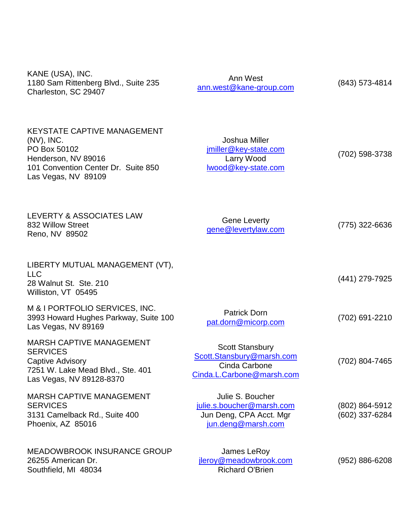| KANE (USA), INC.<br>1180 Sam Rittenberg Blvd., Suite 235<br>Charleston, SC 29407                                                                         | Ann West<br>ann.west@kane-group.com                                                               | (843) 573-4814                   |
|----------------------------------------------------------------------------------------------------------------------------------------------------------|---------------------------------------------------------------------------------------------------|----------------------------------|
| <b>KEYSTATE CAPTIVE MANAGEMENT</b><br>$(NV)$ , INC.<br>PO Box 50102<br>Henderson, NV 89016<br>101 Convention Center Dr. Suite 850<br>Las Vegas, NV 89109 | Joshua Miller<br>jmiller@key-state.com<br>Larry Wood<br>wood@key-state.com                        | (702) 598-3738                   |
| LEVERTY & ASSOCIATES LAW<br>832 Willow Street<br>Reno, NV 89502                                                                                          | <b>Gene Leverty</b><br>gene@levertylaw.com                                                        | (775) 322-6636                   |
| LIBERTY MUTUAL MANAGEMENT (VT),<br><b>LLC</b><br>28 Walnut St. Ste. 210<br>Williston, VT 05495                                                           |                                                                                                   | (441) 279-7925                   |
| M & I PORTFOLIO SERVICES, INC.<br>3993 Howard Hughes Parkway, Suite 100<br>Las Vegas, NV 89169                                                           | <b>Patrick Dorn</b><br>pat.dorn@micorp.com                                                        | (702) 691-2210                   |
| <b>MARSH CAPTIVE MANAGEMENT</b><br><b>SERVICES</b><br>Captive Advisory<br>7251 W. Lake Mead Blvd., Ste. 401<br>Las Vegas, NV 89128-8370                  | <b>Scott Stansbury</b><br>Scott.Stansbury@marsh.com<br>Cinda Carbone<br>Cinda.L.Carbone@marsh.com | (702) 804-7465                   |
| <b>MARSH CAPTIVE MANAGEMENT</b><br><b>SERVICES</b><br>3131 Camelback Rd., Suite 400<br>Phoenix, AZ 85016                                                 | Julie S. Boucher<br>julie.s.boucher@marsh.com<br>Jun Deng, CPA Acct. Mgr<br>jun.deng@marsh.com    | (802) 864-5912<br>(602) 337-6284 |
| <b>MEADOWBROOK INSURANCE GROUP</b><br>26255 American Dr.<br>Southfield, MI 48034                                                                         | James LeRoy<br>jleroy@meadowbrook.com<br><b>Richard O'Brien</b>                                   | $(952) 886 - 6208$               |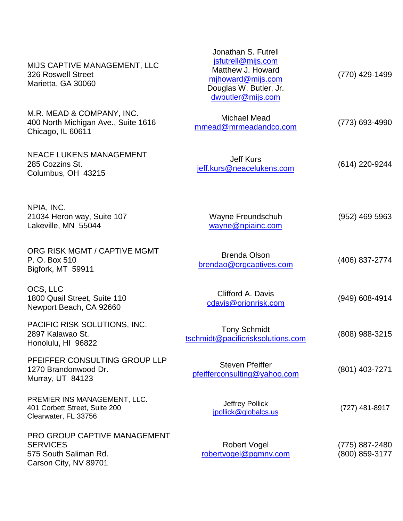| MIJS CAPTIVE MANAGEMENT, LLC<br>326 Roswell Street<br>Marietta, GA 30060                          | Jonathan S. Futrell<br>jsfutrell@mijs.com<br>Matthew J. Howard<br>mihoward@mijs.com<br>Douglas W. Butler, Jr.<br>dwbutler@mijs.com | (770) 429-1499                   |
|---------------------------------------------------------------------------------------------------|------------------------------------------------------------------------------------------------------------------------------------|----------------------------------|
| M.R. MEAD & COMPANY, INC.<br>400 North Michigan Ave., Suite 1616<br>Chicago, IL 60611             | <b>Michael Mead</b><br>mmead@mrmeadandco.com                                                                                       | (773) 693-4990                   |
| <b>NEACE LUKENS MANAGEMENT</b><br>285 Cozzins St.<br>Columbus, OH 43215                           | <b>Jeff Kurs</b><br>jeff.kurs@neacelukens.com                                                                                      | (614) 220-9244                   |
| NPIA, INC.<br>21034 Heron way, Suite 107<br>Lakeville, MN 55044                                   | Wayne Freundschuh<br>wayne@npiainc.com                                                                                             | (952) 469 5963                   |
| ORG RISK MGMT / CAPTIVE MGMT<br>P. O. Box 510<br>Bigfork, MT 59911                                | <b>Brenda Olson</b><br>brendao@orgcaptives.com                                                                                     | (406) 837-2774                   |
| OCS, LLC<br>1800 Quail Street, Suite 110<br>Newport Beach, CA 92660                               | Clifford A. Davis<br>cdavis@orionrisk.com                                                                                          | (949) 608-4914                   |
| PACIFIC RISK SOLUTIONS, INC.<br>2897 Kalawao St.<br>Honolulu, HI 96822                            | <b>Tony Schmidt</b><br>tschmidt@pacificrisksolutions.com                                                                           | (808) 988-3215                   |
| PFEIFFER CONSULTING GROUP LLP<br>1270 Brandonwood Dr.<br>Murray, UT 84123                         | <b>Steven Pfeiffer</b><br>pfeifferconsulting@yahoo.com                                                                             | (801) 403-7271                   |
| PREMIER INS MANAGEMENT, LLC.<br>401 Corbett Street, Suite 200<br>Clearwater, FL 33756             | Jeffrey Pollick<br>jpollick@globalcs.us                                                                                            | $(727)$ 481-8917                 |
| PRO GROUP CAPTIVE MANAGEMENT<br><b>SERVICES</b><br>575 South Saliman Rd.<br>Carson City, NV 89701 | Robert Vogel<br>robertvogel@pgmnv.com                                                                                              | (775) 887-2480<br>(800) 859-3177 |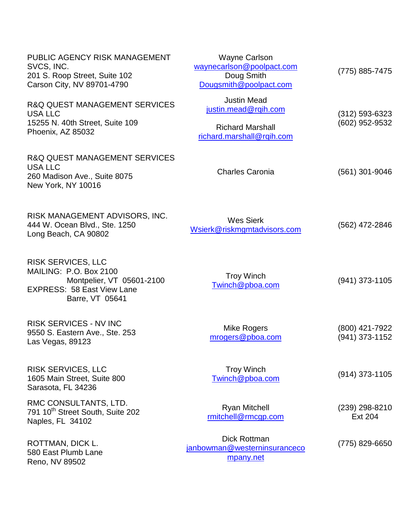| PUBLIC AGENCY RISK MANAGEMENT<br>SVCS, INC.<br>201 S. Roop Street, Suite 102<br>Carson City, NV 89701-4790                               | <b>Wayne Carlson</b><br>waynecarlson@poolpact.com<br>Doug Smith<br>Dougsmith@poolpact.com          | (775) 885-7475                       |
|------------------------------------------------------------------------------------------------------------------------------------------|----------------------------------------------------------------------------------------------------|--------------------------------------|
| <b>R&amp;Q QUEST MANAGEMENT SERVICES</b><br>USA LLC<br>15255 N. 40th Street, Suite 109<br>Phoenix, AZ 85032                              | <b>Justin Mead</b><br>justin.mead@rqih.com<br><b>Richard Marshall</b><br>richard.marshall@rqih.com | $(312) 593 - 6323$<br>(602) 952-9532 |
| <b>R&amp;Q QUEST MANAGEMENT SERVICES</b><br><b>USA LLC</b><br>260 Madison Ave., Suite 8075<br>New York, NY 10016                         | <b>Charles Caronia</b>                                                                             | $(561)$ 301-9046                     |
| RISK MANAGEMENT ADVISORS, INC.<br>444 W. Ocean Blvd., Ste. 1250<br>Long Beach, CA 90802                                                  | <b>Wes Sierk</b><br>Wsierk@riskmgmtadvisors.com                                                    | (562) 472-2846                       |
| <b>RISK SERVICES, LLC</b><br>MAILING: P.O. Box 2100<br>Montpelier, VT 05601-2100<br><b>EXPRESS: 58 East View Lane</b><br>Barre, VT 05641 | <b>Troy Winch</b><br>Twinch@pboa.com                                                               | $(941)$ 373-1105                     |
| <b>RISK SERVICES - NV INC</b><br>9550 S. Eastern Ave., Ste. 253<br>Las Vegas, 89123                                                      | Mike Rogers<br>mrogers@pboa.com                                                                    | (800) 421-7922<br>(941) 373-1152     |
| <b>RISK SERVICES, LLC</b><br>1605 Main Street, Suite 800<br>Sarasota, FL 34236                                                           | <b>Troy Winch</b><br>Twinch@pboa.com                                                               | $(914)$ 373-1105                     |
| RMC CONSULTANTS, LTD.<br>791 10 <sup>th</sup> Street South, Suite 202<br>Naples, FL 34102                                                | <b>Ryan Mitchell</b><br>rmitchell@rmcgp.com                                                        | $(239)$ 298-8210<br><b>Ext 204</b>   |
| ROTTMAN, DICK L.<br>580 East Plumb Lane<br>Reno, NV 89502                                                                                | <b>Dick Rottman</b><br>janbowman@westerninsuranceco<br>mpany.net                                   | (775) 829-6650                       |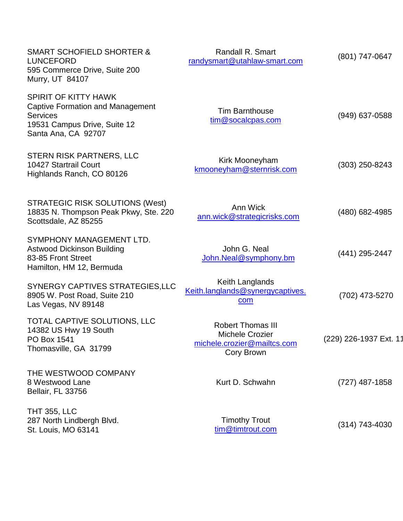| <b>SMART SCHOFIELD SHORTER &amp;</b><br><b>LUNCEFORD</b><br>595 Commerce Drive, Suite 200<br>Murry, UT 84107                                     | Randall R. Smart<br>randysmart@utahlaw-smart.com                                                | (801) 747-0647         |
|--------------------------------------------------------------------------------------------------------------------------------------------------|-------------------------------------------------------------------------------------------------|------------------------|
| <b>SPIRIT OF KITTY HAWK</b><br><b>Captive Formation and Management</b><br><b>Services</b><br>19531 Campus Drive, Suite 12<br>Santa Ana, CA 92707 | <b>Tim Barnthouse</b><br>tim@socalcpas.com                                                      | $(949)$ 637-0588       |
| STERN RISK PARTNERS, LLC<br>10427 Startrail Court<br>Highlands Ranch, CO 80126                                                                   | Kirk Mooneyham<br>kmooneyham@sternrisk.com                                                      | $(303)$ 250-8243       |
| <b>STRATEGIC RISK SOLUTIONS (West)</b><br>18835 N. Thompson Peak Pkwy, Ste. 220<br>Scottsdale, AZ 85255                                          | Ann Wick<br>ann.wick@strategicrisks.com                                                         | (480) 682-4985         |
| SYMPHONY MANAGEMENT LTD.<br><b>Astwood Dickinson Building</b><br>83-85 Front Street<br>Hamilton, HM 12, Bermuda                                  | John G. Neal<br>John.Neal@symphony.bm                                                           | (441) 295-2447         |
| SYNERGY CAPTIVES STRATEGIES, LLC<br>8905 W. Post Road, Suite 210<br>Las Vegas, NV 89148                                                          | Keith Langlands<br>Keith.langlands@synergycaptives.<br>com                                      | (702) 473-5270         |
| TOTAL CAPTIVE SOLUTIONS, LLC<br>14382 US Hwy 19 South<br>PO Box 1541<br>Thomasville, GA 31799                                                    | <b>Robert Thomas III</b><br><b>Michele Crozier</b><br>michele.crozier@mailtcs.com<br>Cory Brown | (229) 226-1937 Ext. 11 |
| THE WESTWOOD COMPANY<br>8 Westwood Lane<br>Bellair, FL 33756                                                                                     | Kurt D. Schwahn                                                                                 | $(727)$ 487-1858       |
| <b>THT 355, LLC</b><br>287 North Lindbergh Blvd.<br>St. Louis, MO 63141                                                                          | <b>Timothy Trout</b><br>tim@timtrout.com                                                        | $(314)$ 743-4030       |